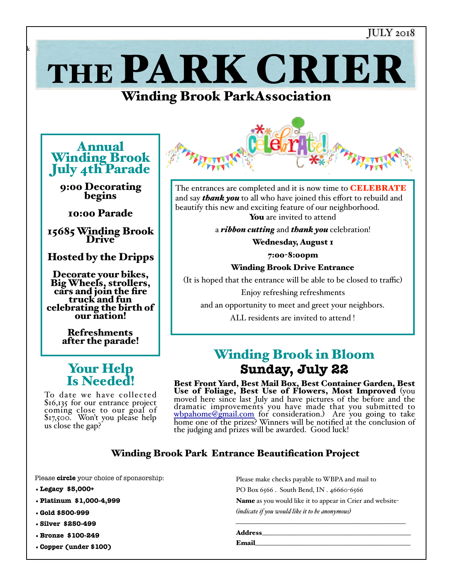

Please **circle** your choice of sponsorship:

- **•Legacy \$5,000+**
- **•Platinum \$1,000-4,999**
- **•Gold \$500-999**
- **•Silver \$250-499**
- **•Bronze \$100-249**
- •**Copper (under \$100)**

Please make checks payable to WBPA and mail to PO Box 6566. South Bend, IN. 46660-6566

Name as you would like it to appear in Crier and website- *(indicate if you would like it to be anonymous)*

*\_\_\_\_\_\_\_\_\_\_\_\_\_\_\_\_\_\_\_\_\_\_\_\_\_\_\_\_\_\_\_\_\_\_\_\_\_\_\_\_\_\_\_\_\_\_\_\_\_\_\_\_\_\_\_*

Address\_\_\_\_\_\_\_\_\_\_\_\_\_\_\_\_\_\_\_\_\_\_\_\_\_\_\_\_\_\_\_\_\_\_\_\_\_\_\_\_\_\_\_\_\_\_\_

 $E$ mail $\Box$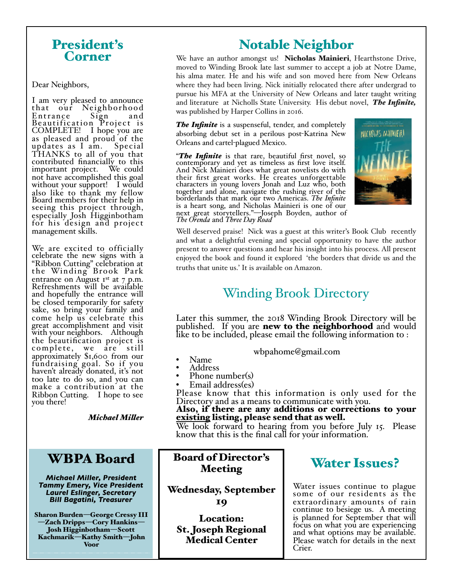## President's Corner

Dear Neighbors,

I am very pleased to announce that our Neighborhood<br>Entrance Sign and Entrance Sign and Beautification Project is COMPLETE! I hope you are as pleased and proud of the updates as I am. Special THANKS to all of you that contributed financially to this important project. We could not have accomplished this goal without your support! I would also like to thank my fellow Board members for their help in seeing this project through, especially Josh Higginbotham for his design and project management skills.

We are excited to officially celebrate the new signs with a "Ribbon Cutting" celebration at the Winding Brook Park entrance on August 1st at 7 p.m. Refreshments will be available and hopefully the entrance will be closed temporarily for safety sake, so bring your family and come help us celebrate this great accomplishment and visit with your neighbors. Although the beautification project is complete, we are still<br>approximately \$1,600 from our approximately \$1,600 from our<br>fundraising goal. So if you haven't already donated, it's not too late to do so, and you can make a contribution at the Ribbon Cutting. I hope to see you there!

### *Michael Miler*

# WBPA Board

*Michael Miller, President Tammy Emery, Vice President Laurel Eslinger, Secretary Bill Bagatini, Treasurer*

Sharon Burden—George Cressy III —Zach Dripps—Cory Hankins— Josh Higginbotham—Scott Kachmarik—Kathy Smith—John Voor

# Notable Neighbor

We have an author amongst us! Nicholas Mainieri, Hearthstone Drive, moved to Winding Brook late last summer to accept a job at Notre Dame, his alma mater. He and his wife and son moved here from New Orleans where they had been living. Nick initially relocated there after undergrad to pursue his MFA at the University of New Orleans and later taught writing and literature at Nicholls State University. His debut novel, *The Infinite,* was published by Harper Collins in 2016.

**The Infinite** is a suspenseful, tender, and completely absorbing debut set in a perilous post-Katrina New Orleans and cartel-plagued Mexico.

"*The Infinite* is that rare, beautiful first novel, so contemporary and yet as timeless as first love itself. And Nick Mainieri does what great novelists do with their first great works. He creates unforgettable characters in young lovers Jonah and Luz who, both together and alone, navigate the rushing river of the borderlands that mark our two Americas. The Infinite is a heart song, and Nicholas Mainieri is one of our next great storytellers."—Joseph Boyden, author of *The Orenda* and *Three Day Road*



Well deserved praise! Nick was a guest at this writer's Book Club recently and what a delightful evening and special opportunity to have the author present to answer questions and hear his insight into his process. All present enjoyed the book and found it explored 'the borders that divide us and the truths that unite us.' It is available on Amazon.

# Winding Brook Directory

Later this summer, the 2018 Winding Brook Directory will be published. If you are **new to the neighborhood** and would like to be included, please email the following information to :

wbpahome@gmail.com<br>
• Name<br>
• Address<br>
• Phone number(s)

- 
- 
- 
- Email address(es)

Please know that this information is only used for the Directory and as a means to communicate with you.

# Also, if there are any additions or corrections to your <u>existing</u> listing, please send that as well.

We look forward to hearing from you before July 15. Please know that this is the final call for your information.

### Board of Director's Meeting

Wednesday, September 19

Location: St. Joseph Regional Medical Center

# Water Issues?

Water issues continue to plague some of our residents as the extraordinary amounts of rain continue to besiege us. A meeting is planned for September that will focus on what you are experiencing and what options may be available. Please watch for details in the next Crier.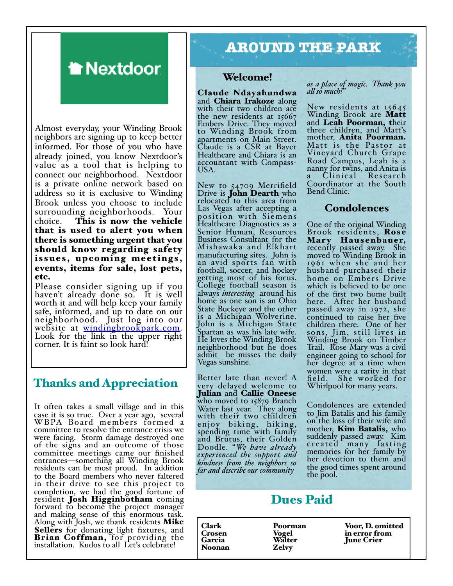# **A** Nextdoor

Almost everyday, your Winding Brook neighbors are signing up to keep better informed. For those of you who have already joined, you know Nextdoor's value as a tool that is helping to connect our neighborhood. Nextdoor is a private online network based on address so it is exclusive to Winding Brook unless you choose to include surrounding neighborhoods. Your choice. This is now the vehicle that is used to alert you when there is something urgent that you should know regarding safety issues, upcoming meetings, events, items for sale, lost pets, etc.

Please consider signing up if you haven't already done so. It is well worth it and will help keep your family safe, informed, and up to date on our neighborhood. Just log into our website at <u>windingbrookpark.com</u>.<br>Look for t[he link in the upper right](http://windingbrookpark.com) Look for the link in the upper right corner. It is faint so look hard!

### Thanks and Appreciation

It often takes a small village and in this case it is so true. Over a year ago, several WBPA Board members formed a committee to resolve the entrance crisis we were facing. Storm damage destroyed one of the signs and an outcome of those committee meetings came our finished entrances—something all Winding Brook residents can be most proud. In addition to the Board members who never faltered in their drive to see this project to completion, we had the good fortune of resident **Josh Higginbotham** coming<br>forward to become the project manager and making sense of this enormous task. Along with Josh, we thank residents Mike Sellers for donating light fixtures, and Brian Coffman, for providing the installation. Kudos to all Let's celebrate!

# **AROUND THE PARK**

### Welcome!

Claude Ndayahundwa<br>and Chiara Irakoze along with their two children are the new residents at 15667 Embers Drive. They moved to Winding Brook from apartments on Main Street. Claude is a CSR at Bayer Healthcare and Chiara is an accountant with Compass- USA.

New to 54709 Merrifield Drive is **John Dearth** who relocated to this area from Las Vegas after accepting a position with Siemens Healthcare Diagnostics as a Senior Human, Resources Business Consultant for the Mishawaka and Elkhart manufacturing sites. John is an avid sports fan with football, soccer, and hockey getting most of his focus. College football season is always *interesting* around his home as one son is an Ohio State Buckeye and the other is a Michigan Wolverine. John is a Michigan State Spartan as was his late wife. He loves the Winding Brook neighborhood but he does admit he misses the daily Vegas sunshine.

Better late than never! A very delayed welcome to Julian and Callie Oneese who moved to 15879 Branch Water last year. They along with their two children enjoy biking, hiking, spending time with family and Brutus, their Golden<br>Doodle. "We have already experienced the support and *kindness fom the neighbors so far and describe our community* 

*as a place of magic. Thank you al so much!"*

New residents at 15645 Winding Brook are **Matt** and Leah Poorman, their three children, and Matt's mother, Anita Poorman. Matt is the Pastor at Vineyard Church Grape Road Campus, Leah is a nanny for twins, and Anita is a Clinical Research Coordinator at the South Bend Clinic.

### **Condolences**

One of the original Winding Brook residents, Rose Mary Hausenbauer, recently passed away. She moved to Winding Brook in 1961 when she and her husband purchased their home on Embers Drive which is believed to be one of the first two home built here. After her husband passed away in 1972, she continued to raise her five children there. One of her sons, Jim, still lives in Winding Brook on Timber Trail. Rose Mary was a civil engineer going to school for her degree at a time when women were a rarity in that field. She worked for Whirlpool for many years.

Condolences are extended to Jim Batalis and his family on the loss of their wife and mother, Kim Batalis, who suddenly passed away. Kim created many la sting memories for her family by her devotion to them and the good times spent around the pool.

# Dues Paid

Clark Crosen Garcia Noonan Poorman Vogel Walter Zelvy Voor, D. omitted in error from June Crier